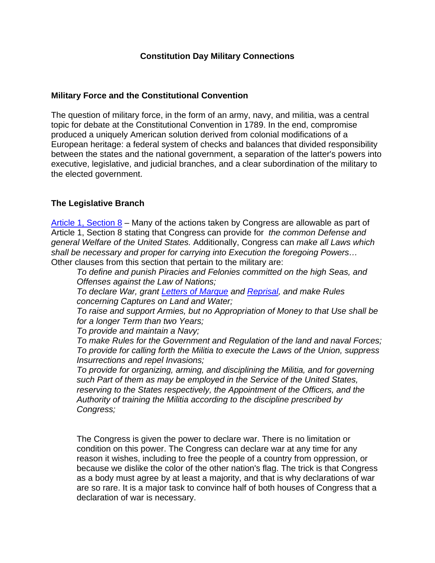## **Constitution Day Military Connections**

### **Military Force and the Constitutional Convention**

The question of military force, in the form of an army, navy, and militia, was a central topic for debate at the Constitutional Convention in 1789. In the end, compromise produced a uniquely American solution derived from colonial modifications of a European heritage: a federal system of checks and balances that divided responsibility between the states and the national government, a separation of the latter's powers into executive, legislative, and judicial branches, and a clear subordination of the military to the elected government.

## **The Legislative Branch**

[Article 1, Section 8](http://www.usconstitution.net/xconst_A1Sec8.html) – Many of the actions taken by Congress are allowable as part of Article 1, Section 8 stating that Congress can provide for *the common Defense and general Welfare of the United States.* Additionally, Congress can *make all Laws which shall be necessary and proper for carrying into Execution the foregoing Powers…*  Other clauses from this section that pertain to the military are:

*To define and punish Piracies and Felonies committed on the high Seas, and Offenses against the Law of Nations;* 

*To declare War, grant [Letters of Marque](http://www.usconstitution.net/glossary.html#MARQUE) and [Reprisal,](http://www.usconstitution.net/glossary.html#REPRISAL) and make Rules concerning Captures on Land and Water;* 

*To raise and support Armies, but no Appropriation of Money to that Use shall be for a longer Term than two Years;* 

*To provide and maintain a Navy;* 

*To make Rules for the Government and Regulation of the land and naval Forces; To provide for calling forth the Militia to execute the Laws of the Union, suppress Insurrections and repel Invasions;* 

*To provide for organizing, arming, and disciplining the Militia, and for governing such Part of them as may be employed in the Service of the United States, reserving to the States respectively, the Appointment of the Officers, and the Authority of training the Militia according to the discipline prescribed by Congress;* 

The Congress is given the power to declare war. There is no limitation or condition on this power. The Congress can declare war at any time for any reason it wishes, including to free the people of a country from oppression, or because we dislike the color of the other nation's flag. The trick is that Congress as a body must agree by at least a majority, and that is why declarations of war are so rare. It is a major task to convince half of both houses of Congress that a declaration of war is necessary.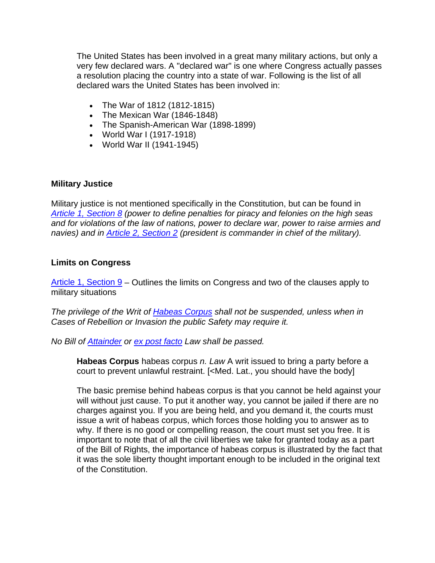The United States has been involved in a great many military actions, but only a very few declared wars. A "declared war" is one where Congress actually passes a resolution placing the country into a state of war. Following is the list of all declared wars the United States has been involved in:

- The War of 1812 (1812-1815)
- The Mexican War (1846-1848)
- The Spanish-American War (1898-1899)
- World War I (1917-1918)
- World War II (1941-1945)

## **Military Justice**

Military justice is not mentioned specifically in the Constitution, but can be found in *[Article 1, Section 8](http://www.usconstitution.net/xconst_A1Sec8.html) (power to define penalties for piracy and felonies on the high seas and for violations of the law of nations, power to declare war, power to raise armies and navies) and in [Article 2, Section 2](http://www.usconstitution.net/xconst_A2Sec2.html) (president is commander in chief of the military).* 

#### **Limits on Congress**

[Article 1, Section 9](http://www.usconstitution.net/xconst_A1Sec9.html) – Outlines the limits on Congress and two of the clauses apply to military situations

*The privilege of the Writ of [Habeas Corpus](http://www.usconstitution.net/glossary.html#HABCOR) shall not be suspended, unless when in Cases of Rebellion or Invasion the public Safety may require it.* 

*No Bill of [Attainder](http://www.usconstitution.net/glossary.html#ATTAINDER) or [ex post facto](http://www.usconstitution.net/glossary.html#EXPOST) Law shall be passed.* 

**Habeas Corpus** habeas corpus *n. Law* A writ issued to bring a party before a court to prevent unlawful restraint. [<Med. Lat., you should have the body]

The basic premise behind habeas corpus is that you cannot be held against your will without just cause. To put it another way, you cannot be jailed if there are no charges against you. If you are being held, and you demand it, the courts must issue a writ of habeas corpus, which forces those holding you to answer as to why. If there is no good or compelling reason, the court must set you free. It is important to note that of all the civil liberties we take for granted today as a part of the Bill of Rights, the importance of habeas corpus is illustrated by the fact that it was the sole liberty thought important enough to be included in the original text of the Constitution.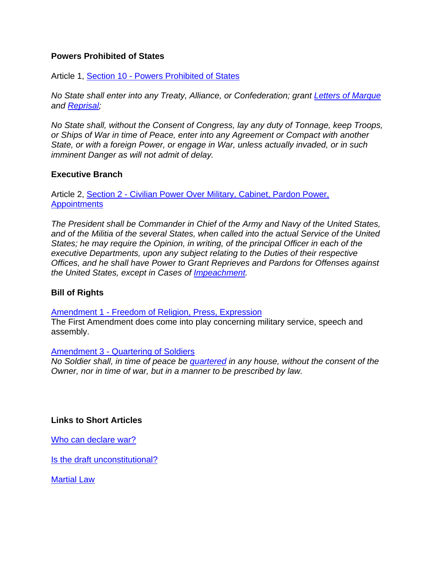## **Powers Prohibited of States**

Article 1, [Section 10 - Powers Prohibited of States](http://www.usconstitution.net/xconst_A1Sec10.html)

*No State shall enter into any Treaty, Alliance, or Confederation; grant [Letters of Marque](http://www.usconstitution.net/glossary.html#MARQUE) and [Reprisal](http://www.usconstitution.net/glossary.html#REPRISAL);* 

*No State shall, without the Consent of Congress, lay any duty of Tonnage, keep Troops, or Ships of War in time of Peace, enter into any Agreement or Compact with another State, or with a foreign Power, or engage in War, unless actually invaded, or in such imminent Danger as will not admit of delay.* 

#### **Executive Branch**

Article 2, Section 2 - Civilian Power Over Military, Cabinet, Pardon Power, **[Appointments](http://www.usconstitution.net/xconst_A2Sec2.html)** 

*The President shall be Commander in Chief of the Army and Navy of the United States, and of the Militia of the several States, when called into the actual Service of the United States; he may require the Opinion, in writing, of the principal Officer in each of the executive Departments, upon any subject relating to the Duties of their respective Offices, and he shall have Power to Grant Reprieves and Pardons for Offenses against the United States, except in Cases of [Impeachment](http://www.usconstitution.net/glossary.html#IMPEACH).* 

## **Bill of Rights**

[Amendment 1 - Freedom of Religion, Press, Expression](http://www.usconstitution.net/xconst_Am1.html)

The First Amendment does come into play concerning military service, speech and assembly.

#### [Amendment 3 - Quartering of Soldiers](http://www.usconstitution.net/xconst_Am3.html)

*No Soldier shall, in time of peace be [quartered](http://www.usconstitution.net/glossary.html#QUARTER) in any house, without the consent of the Owner, nor in time of war, but in a manner to be prescribed by law.*

## **Links to Short Articles**

[Who can declare war?](http://www.usconstitution.net/constfaq_a6.html#Q108)

[Is the draft unconstitutional?](http://www.usconstitution.net/constfaq_a3.html#Q49)

[Martial Law](http://www.usconstitution.net/consttop_mlaw.html)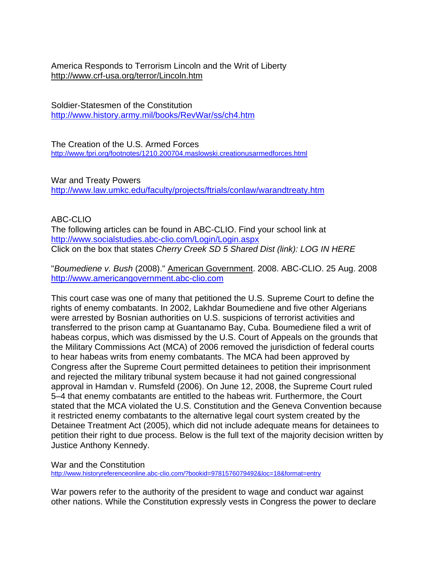America Responds to Terrorism Lincoln and the Writ of Liberty <http://www.crf-usa.org/terror/Lincoln.htm>

Soldier-Statesmen of the Constitution <http://www.history.army.mil/books/RevWar/ss/ch4.htm>

The Creation of the U.S. Armed Forces <http://www.fpri.org/footnotes/1210.200704.maslowski.creationusarmedforces.html>

War and Treaty Powers <http://www.law.umkc.edu/faculty/projects/ftrials/conlaw/warandtreaty.htm>

# ABC-CLIO

The following articles can be found in ABC-CLIO. Find your school link at <http://www.socialstudies.abc-clio.com/Login/Login.aspx> Click on the box that states *Cherry Creek SD 5 Shared Dist (link): LOG IN HERE* 

"*Boumediene v. Bush* (2008)." American Government. 2008. ABC-CLIO. 25 Aug. 2008 [http://www.americangovernment.abc-clio.com](http://www.americangovernment.abc-clio.com/)

This court case was one of many that petitioned the U.S. Supreme Court to define the rights of enemy combatants. In 2002, Lakhdar Boumediene and five other Algerians were arrested by Bosnian authorities on U.S. suspicions of terrorist activities and transferred to the prison camp at Guantanamo Bay, Cuba. Boumediene filed a writ of habeas corpus, which was dismissed by the U.S. Court of Appeals on the grounds that the Military Commissions Act (MCA) of 2006 removed the jurisdiction of federal courts to hear habeas writs from enemy combatants. The MCA had been approved by Congress after the Supreme Court permitted detainees to petition their imprisonment and rejected the military tribunal system because it had not gained congressional approval in Hamdan v. Rumsfeld (2006). On June 12, 2008, the Supreme Court ruled 5–4 that enemy combatants are entitled to the habeas writ. Furthermore, the Court stated that the MCA violated the U.S. Constitution and the Geneva Convention because it restricted enemy combatants to the alternative legal court system created by the Detainee Treatment Act (2005), which did not include adequate means for detainees to petition their right to due process. Below is the full text of the majority decision written by Justice Anthony Kennedy.

War and the Constitution

<http://www.historyreferenceonline.abc-clio.com/?bookid=9781576079492&loc=18&format=entry>

War powers refer to the authority of the president to wage and conduct war against other nations. While the Constitution expressly vests in Congress the power to declare